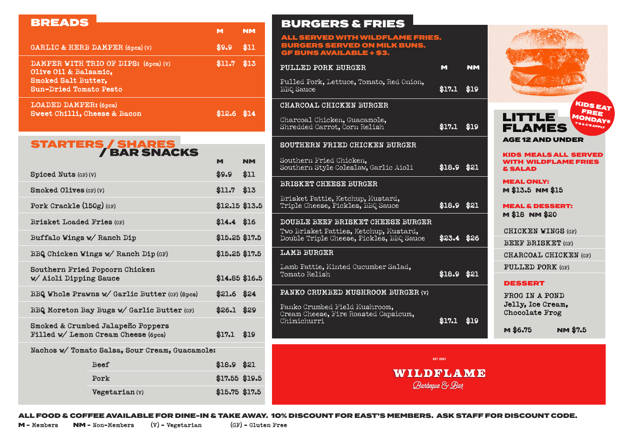## BREADS

|                                                                                                                       |        | NM   |
|-----------------------------------------------------------------------------------------------------------------------|--------|------|
| GARLIC & HERB DAMPER (6pcs)(V)                                                                                        | \$9.9  | \$11 |
| DAMPER WITH TRIO OF DIPS: (6pcs) (V)<br>Olive Oil & Balsamic,<br>Smoked Salt Butter,<br><b>Sun-Dried Tomato Pesto</b> | \$11.7 | \$13 |
| <b>LOADED DAMPER: (6pcs)</b><br>Sweet Chilli, Cheese & Bacon                                                          | \$12.6 | \$14 |

## STARTERS / SHARES / BAR SNACKS

|                                                                          |                                                | M               | <b>NM</b> |
|--------------------------------------------------------------------------|------------------------------------------------|-----------------|-----------|
| <b>Spiced Nuts (GF) (V)</b>                                              |                                                | \$9.9           | \$11      |
| <b>Smoked Olives (GF) (V)</b>                                            | $$11.7$ \$13                                   |                 |           |
| Pork Crackle $(150g)$ (GF)                                               |                                                | \$12.15 \$13.5  |           |
| <b>Brisket Loaded Fries (GF)</b>                                         |                                                | $$14.4$ \$16    |           |
| Buffalo Wings w/ Ranch Dip                                               | $$15.25$ \$17.5                                |                 |           |
| BBQ Chicken Wings w/ Ranch Dip (GF)                                      | $$15.25$ \$17.5                                |                 |           |
| w/ Aioli Dipping Sauce                                                   | Southern Fried Popcorn Chicken                 | \$14.85 \$16.5  |           |
|                                                                          | BBQ Whole Prawns w/ Garlic Butter (GF) (8pcs)  | $$21.6$ $$24$   |           |
| BBQ Moreton Bay Bugs w/ Garlic Butter (GF)                               | $$26.1$ \$29                                   |                 |           |
| Smoked & Crumbed Jalapeño Poppers<br>Filled w/ Lemon Cream Cheese (6pcs) |                                                |                 | \$19      |
|                                                                          | Nachos w/ Tomato Salsa, Sour Cream, Guacamole: |                 |           |
|                                                                          | <b>Beef</b>                                    | $$18.9$ \$21    |           |
|                                                                          | Pork                                           | $$17.55$ \$19.5 |           |
|                                                                          | Vegetarian (v)                                 | $$15.75$ \$17.5 |           |

## BURGERS & FRIES

| ALL SERVED WITH WILDFLAME FRIES.<br><b>BURGERS SERVED ON MILK BUNS.</b><br><b>GF BUNS AVAILABLE + \$3.</b> |                 |           |                                                |  |
|------------------------------------------------------------------------------------------------------------|-----------------|-----------|------------------------------------------------|--|
| PULLED PORK BURGER                                                                                         | M               | <b>NM</b> |                                                |  |
| Pulled Pork, Lettuce, Tomato, Red Onion,<br><b>BB</b> Q Sauce                                              | \$17.1          | \$19      |                                                |  |
| CHARCOAL CHICKEN BURGER                                                                                    |                 |           |                                                |  |
| Charcoal Chicken, Guacamole,<br>Shredded Carrot, Corn Relish                                               | \$17.1          | \$19      | LIT<br>FL                                      |  |
| SOUTHERN FRIED CHICKEN BURGER                                                                              |                 |           | AGE <sub>1</sub>                               |  |
| Southern Fried Chicken,<br>Southern Style Coleslaw, Garlic Aioli                                           | \$18.9          | \$21      | <b>KIDS</b><br><b>WITH</b><br><b>&amp; SAL</b> |  |
| BRISKET CHEESE BURGER                                                                                      |                 |           | <b>MEAL</b><br>M \$13                          |  |
| Brisket Pattie, Ketchup, Mustard,<br>Triple Cheese, Pickles, BBQ Sauce                                     | \$18.9          | \$21      | <b>MEAL</b>                                    |  |
| DOUBLE BEEF BRISKET CHEESE BURGER                                                                          |                 |           | <b>M \$18</b>                                  |  |
| Two Brisket Patties, Ketchup, Mustard,<br>Double Triple Cheese, Pickles, BBQ Sauce                         | \$23.4          | \$26      | CHICI<br><b>BEEF</b>                           |  |
| <b>LAMB BURGER</b>                                                                                         |                 |           | <b>CHAR</b>                                    |  |
| Lamb Pattie, Minted Cucumber Salad,<br>Tomato Relish                                                       | \$18.9          | \$21      | PULL                                           |  |
| PANKO CRUMBED MUSHROOM BURGER (v)                                                                          |                 |           | <b>DESS</b>                                    |  |
| Panko Crumbed Field Mushroom,<br>Cream Cheese, Fire Roasted Capsicum,                                      |                 |           | <b>FROG</b><br>Jelly<br>Chocc                  |  |
| Chimichurri                                                                                                | \$17.1          | \$19      | M\$6.                                          |  |
|                                                                                                            | <b>EST 2021</b> |           |                                                |  |
| WIJDELAME<br>Banbeque & Ban                                                                                |                 |           |                                                |  |





**MEALS ALL SERVED** WILDFLAME FRIES AD.

T'S & C'S APP

ONLY: M **\$13.5** NM **\$15**

**& DESSERT:** M **\$18** NM **\$20**

**CHICKEN WINGS (GF)**

**BRISKET** (GF)

**COAL CHICKEN (GF)** 

**ED PORK** (GF)

## **SERT**

IN A POND **, Ice Cream, Chocolate Frog**

M **\$6.75** NM **\$7.5**

ALL FOOD & COFFEE AVAILABLE FOR DINE-IN & TAKE AWAY. 10% DISCOUNT FOR EAST'S MEMBERS. ASK STAFF FOR DISCOUNT CODE.